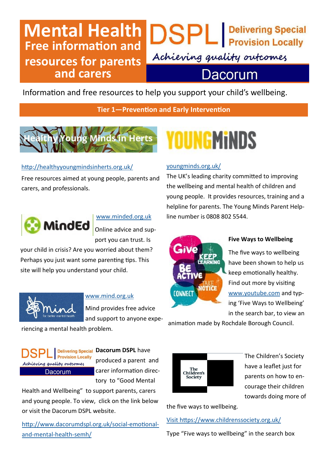### **Mental Health Free information and resources for parents and carers**

Achieving quality outcomes

### Dacorum

**DSPL** Pelivering Special

Information and free resources to help you support your child's wellbeing.

**Tier 1—Prevention and Early Intervention**



#### <http://healthyyoungmindsinherts.org.uk/>

Free resources aimed at young people, parents and carers, and professionals.



#### [www.minded.org.uk](http://www.minded.org.uk)

Online advice and support you can trust. Is

your child in crisis? Are you worried about them? Perhaps you just want some parenting tips. This site will help you understand your child.



#### [www.mind.org.uk](http://www.mind.org.uk)

Mind provides free advice and support to anyone expe-

riencing a mental health problem.



**Delivering Special Dacorum DSPL** have produced a parent and carer information directory to "Good Mental

Health and Wellbeing" to support parents, carers and young people. To view, click on the link below or visit the Dacorum DSPL website.

[http://www.dacorumdspl.org.uk/social](http://www.dacorumdspl.org.uk/social-emotional-and-mental-health-semh/)-emotionaland-[mental](http://www.dacorumdspl.org.uk/social-emotional-and-mental-health-semh/)-health-semh/

# **OUNGMiNDS**

#### [youngminds.org.uk/](https://youngminds.org.uk/)

The UK's leading charity committed to improving the wellbeing and mental health of children and young people. It provides resources, training and a helpline for parents. The Young Minds Parent Helpline number is 0808 802 5544.



#### **Five Ways to Wellbeing**

The five ways to wellbeing have been shown to help us keep emotionally healthy. Find out more by visiting [www.youtube.com](http://www.youtube.com) and typing 'Five Ways to Wellbeing' in the search bar, to view an

animation made by Rochdale Borough Council.



The Children's Society have a leaflet just for parents on how to encourage their children towards doing more of

the five ways to wellbeing.

#### [Visit https://www.childrenssociety.org.uk/](https://www.childrenssociety.org.uk/)

Type "Five ways to wellbeing" in the search box